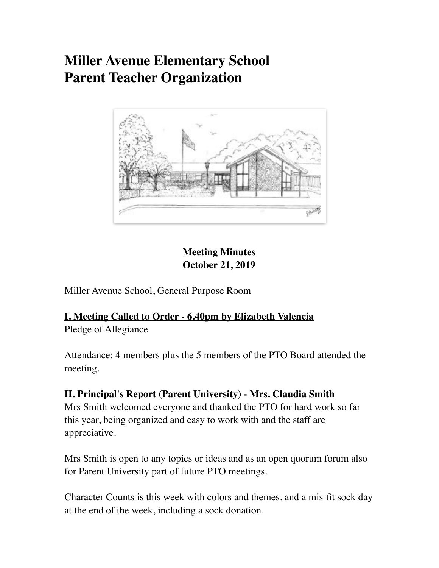# **Miller Avenue Elementary School Parent Teacher Organization**



# **Meeting Minutes October 21, 2019**

Miller Avenue School, General Purpose Room

# **I. Meeting Called to Order - 6.40pm by Elizabeth Valencia**

Pledge of Allegiance

Attendance: 4 members plus the 5 members of the PTO Board attended the meeting.

## **II. Principal's Report (Parent University) - Mrs. Claudia Smith**

Mrs Smith welcomed everyone and thanked the PTO for hard work so far this year, being organized and easy to work with and the staff are appreciative.

Mrs Smith is open to any topics or ideas and as an open quorum forum also for Parent University part of future PTO meetings.

Character Counts is this week with colors and themes, and a mis-fit sock day at the end of the week, including a sock donation.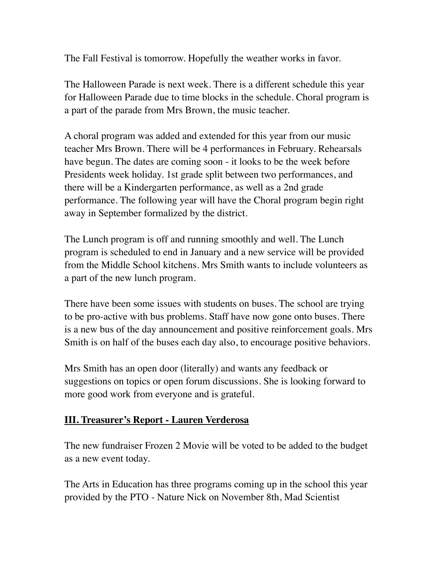The Fall Festival is tomorrow. Hopefully the weather works in favor.

The Halloween Parade is next week. There is a different schedule this year for Halloween Parade due to time blocks in the schedule. Choral program is a part of the parade from Mrs Brown, the music teacher.

A choral program was added and extended for this year from our music teacher Mrs Brown. There will be 4 performances in February. Rehearsals have begun. The dates are coming soon - it looks to be the week before Presidents week holiday. 1st grade split between two performances, and there will be a Kindergarten performance, as well as a 2nd grade performance. The following year will have the Choral program begin right away in September formalized by the district.

The Lunch program is off and running smoothly and well. The Lunch program is scheduled to end in January and a new service will be provided from the Middle School kitchens. Mrs Smith wants to include volunteers as a part of the new lunch program.

There have been some issues with students on buses. The school are trying to be pro-active with bus problems. Staff have now gone onto buses. There is a new bus of the day announcement and positive reinforcement goals. Mrs Smith is on half of the buses each day also, to encourage positive behaviors.

Mrs Smith has an open door (literally) and wants any feedback or suggestions on topics or open forum discussions. She is looking forward to more good work from everyone and is grateful.

### **III. Treasurer's Report - Lauren Verderosa**

The new fundraiser Frozen 2 Movie will be voted to be added to the budget as a new event today.

The Arts in Education has three programs coming up in the school this year provided by the PTO - Nature Nick on November 8th, Mad Scientist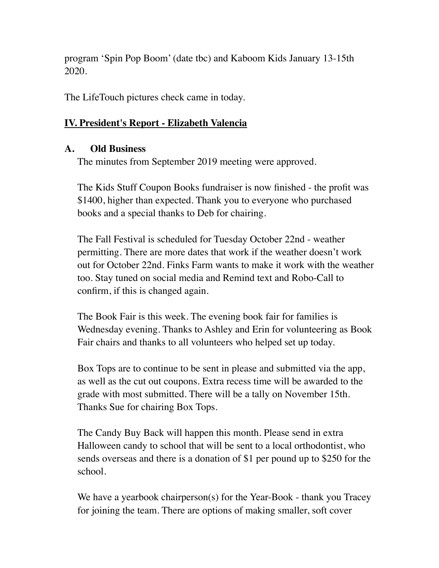program 'Spin Pop Boom' (date tbc) and Kaboom Kids January 13-15th 2020.

The LifeTouch pictures check came in today.

#### **IV. President's Report - Elizabeth Valencia**

#### **A. Old Business**

The minutes from September 2019 meeting were approved.

The Kids Stuff Coupon Books fundraiser is now finished - the profit was \$1400, higher than expected. Thank you to everyone who purchased books and a special thanks to Deb for chairing.

The Fall Festival is scheduled for Tuesday October 22nd - weather permitting. There are more dates that work if the weather doesn't work out for October 22nd. Finks Farm wants to make it work with the weather too. Stay tuned on social media and Remind text and Robo-Call to confirm, if this is changed again.

The Book Fair is this week. The evening book fair for families is Wednesday evening. Thanks to Ashley and Erin for volunteering as Book Fair chairs and thanks to all volunteers who helped set up today.

Box Tops are to continue to be sent in please and submitted via the app, as well as the cut out coupons. Extra recess time will be awarded to the grade with most submitted. There will be a tally on November 15th. Thanks Sue for chairing Box Tops.

The Candy Buy Back will happen this month. Please send in extra Halloween candy to school that will be sent to a local orthodontist, who sends overseas and there is a donation of \$1 per pound up to \$250 for the school.

We have a yearbook chairperson(s) for the Year-Book - thank you Tracey for joining the team. There are options of making smaller, soft cover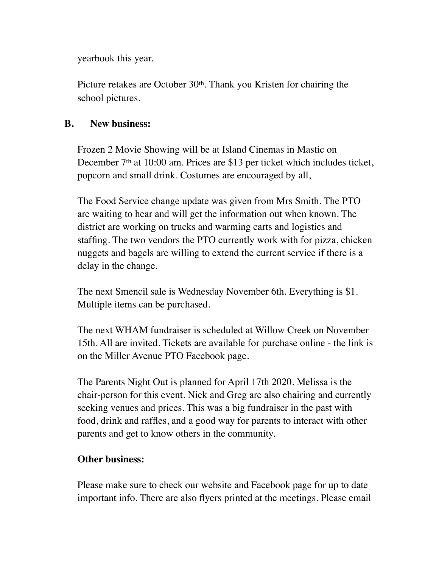yearbook this year.

Picture retakes are October 30th. Thank you Kristen for chairing the school pictures.

#### **B. New business:**

Frozen 2 Movie Showing will be at Island Cinemas in Mastic on December 7<sup>th</sup> at 10:00 am. Prices are \$13 per ticket which includes ticket, popcorn and small drink. Costumes are encouraged by all,

The Food Service change update was given from Mrs Smith. The PTO are waiting to hear and will get the information out when known. The district are working on trucks and warming carts and logistics and staffing. The two vendors the PTO currently work with for pizza, chicken nuggets and bagels are willing to extend the current service if there is a delay in the change.

The next Smencil sale is Wednesday November 6th. Everything is \$1. Multiple items can be purchased.

The next WHAM fundraiser is scheduled at Willow Creek on November 15th. All are invited. Tickets are available for purchase online - the link is on the Miller Avenue PTO Facebook page.

The Parents Night Out is planned for April 17th 2020. Melissa is the chair-person for this event. Nick and Greg are also chairing and currently seeking venues and prices. This was a big fundraiser in the past with food, drink and raffles, and a good way for parents to interact with other parents and get to know others in the community.

#### **Other business:**

Please make sure to check our website and Facebook page for up to date important info. There are also flyers printed at the meetings. Please email